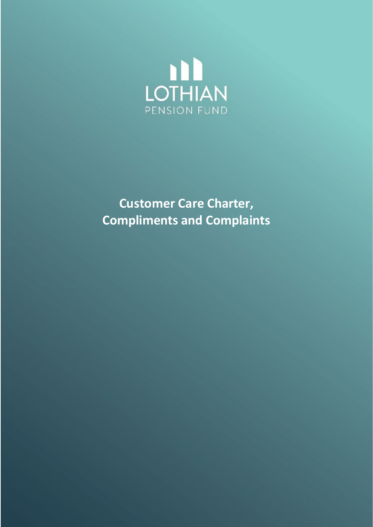

**Customer Care Charter, Compliments and Complaints**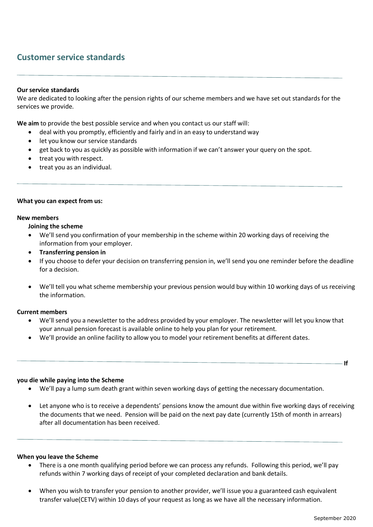# **Customer service standards**

## **Our service standards**

We are dedicated to looking after the pension rights of our scheme members and we have set out standards for the services we provide.

**We aim** to provide the best possible service and when you contact us our staff will:

- deal with you promptly, efficiently and fairly and in an easy to understand way
- let you know our service standards
- get back to you as quickly as possible with information if we can't answer your query on the spot.
- treat you with respect.
- treat you as an individual.

#### **What you can expect from us:**

#### **New members**

#### **Joining the scheme**

- We'll send you confirmation of your membership in the scheme within 20 working days of receiving the information from your employer.
- **Transferring pension in**
- If you choose to defer your decision on transferring pension in, we'll send you one reminder before the deadline for a decision.
- We'll tell you what scheme membership your previous pension would buy within 10 working days of us receiving the information.

#### **Current members**

- We'll send you a newsletter to the address provided by your employer. The newsletter will let you know that your annual pension forecast is available online to help you plan for your retirement.
- We'll provide an online facility to allow you to model your retirement benefits at different dates.

#### **If**

#### **you die while paying into the Scheme**

- We'll pay a lump sum death grant within seven working days of getting the necessary documentation.
- Let anyone who is to receive a dependents' pensions know the amount due within five working days of receiving the documents that we need. Pension will be paid on the next pay date (currently 15th of month in arrears) after all documentation has been received.

#### **When you leave the Scheme**

- There is a one month qualifying period before we can process any refunds. Following this period, we'll pay refunds within 7 working days of receipt of your completed declaration and bank details.
- When you wish to transfer your pension to another provider, we'll issue you a guaranteed cash equivalent transfer value(CETV) within 10 days of your request as long as we have all the necessary information.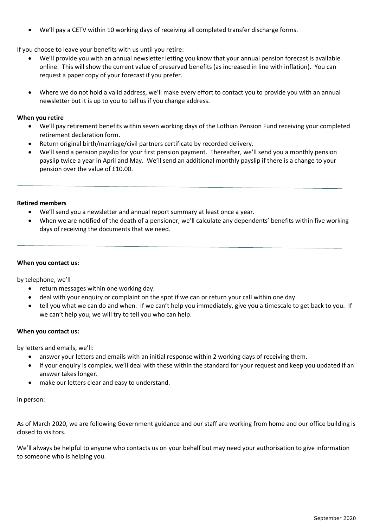• We'll pay a CETV within 10 working days of receiving all completed transfer discharge forms.

## If you choose to leave your benefits with us until you retire:

- We'll provide you with an annual newsletter letting you know that your annual pension forecast is available online. This will show the current value of preserved benefits (as increased in line with inflation). You can request a paper copy of your forecast if you prefer.
- Where we do not hold a valid address, we'll make every effort to contact you to provide you with an annual newsletter but it is up to you to tell us if you change address.

## **When you retire**

- We'll pay retirement benefits within seven working days of the Lothian Pension Fund receiving your completed retirement declaration form.
- Return original birth/marriage/civil partners certificate by recorded delivery.
- We'll send a pension payslip for your first pension payment. Thereafter, we'll send you a monthly pension payslip twice a year in April and May. We'll send an additional monthly payslip if there is a change to your pension over the value of £10.00.

## **Retired members**

- We'll send you a newsletter and annual report summary at least once a year.
- When we are notified of the death of a pensioner, we'll calculate any dependents' benefits within five working days of receiving the documents that we need.

## **When you contact us:**

by telephone, we'll

- return messages within one working day.
- deal with your enquiry or complaint on the spot if we can or return your call within one day.
- tell you what we can do and when. If we can't help you immediately, give you a timescale to get back to you. If we can't help you, we will try to tell you who can help.

## **When you contact us:**

by letters and emails, we'll:

- answer your letters and emails with an initial response within 2 working days of receiving them.
- if your enquiry is complex, we'll deal with these within the standard for your request and keep you updated if an answer takes longer.
- make our letters clear and easy to understand.

## in person:

As of March 2020, we are following Government guidance and our staff are working from home and our office building is closed to visitors.

We'll always be helpful to anyone who contacts us on your behalf but may need your authorisation to give information to someone who is helping you.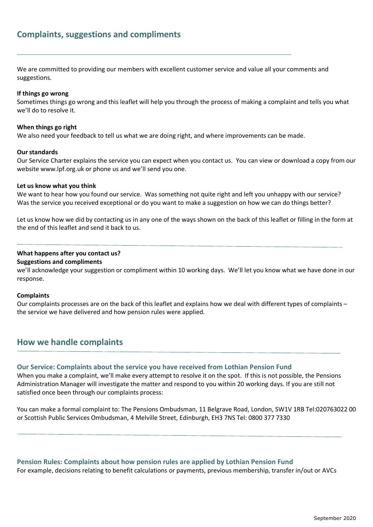# **Complaints, suggestions and compliments**

We are committed to providing our members with excellent customer service and value all your comments and suggestions.

### **If things go wrong**

Sometimes things go wrong and this leaflet will help you through the process of making a complaint and tells you what we'll do to resolve it.

### **When things go right**

We also need your feedback to tell us what we are doing right, and where improvements can be made.

#### **Our standards**

Our Service Charter explains the service you can expect when you contact us. You can view or download a copy from our website www.lpf.org.uk or phone us and we'll send you one.

#### **Let us know what you think**

We want to hear how you found our service. Was something not quite right and left you unhappy with our service? Was the service you received exceptional or do you want to make a suggestion on how we can do things better?

Let us know how we did by contacting us in any one of the ways shown on the back of this leaflet or filling in the form at the end of this leaflet and send it back to us.

## **What happens after you contact us? Suggestions and compliments**

we'll acknowledge your suggestion or compliment within 10 working days. We'll let you know what we have done in our response.

#### **Complaints**

Our complaints processes are on the back of this leaflet and explains how we deal with different types of complaints – the service we have delivered and how pension rules were applied.

## **How we handle complaints**

## **Our Service: Complaints about the service you have received from Lothian Pension Fund**

When you make a complaint, we'll make every attempt to resolve it on the spot. If this is not possible, the Pensions Administration Manager will investigate the matter and respond to you within 20 working days. If you are still not satisfied once been through our complaints process:

You can make a formal complaint to: The Pensions Ombudsman, 11 Belgrave Road, London, SW1V 1RB Tel:020763022 00 or Scottish Public Services Ombudsman, 4 Melville Street, Edinburgh, EH3 7NS Tel: 0800 377 7330

**Pension Rules: Complaints about how pension rules are applied by Lothian Pension Fund**  For example, decisions relating to benefit calculations or payments, previous membership, transfer in/out or AVCs